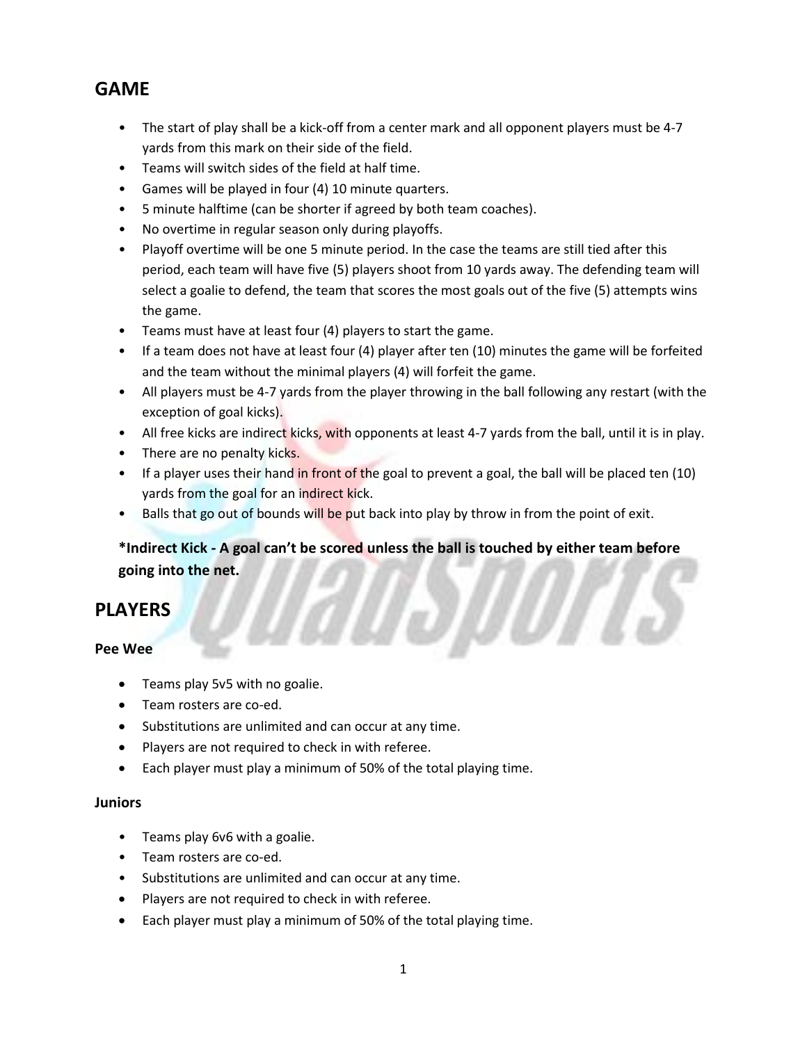### **GAME**

- The start of play shall be a kick-off from a center mark and all opponent players must be 4-7 yards from this mark on their side of the field.
- Teams will switch sides of the field at half time.
- Games will be played in four (4) 10 minute quarters.
- 5 minute halftime (can be shorter if agreed by both team coaches).
- No overtime in regular season only during playoffs.
- Playoff overtime will be one 5 minute period. In the case the teams are still tied after this period, each team will have five (5) players shoot from 10 yards away. The defending team will select a goalie to defend, the team that scores the most goals out of the five (5) attempts wins the game.
- Teams must have at least four (4) players to start the game.
- If a team does not have at least four (4) player after ten (10) minutes the game will be forfeited and the team without the minimal players (4) will forfeit the game.
- All players must be 4-7 yards from the player throwing in the ball following any restart (with the exception of goal kicks).
- All free kicks are indirect kicks, with opponents at least 4-7 yards from the ball, until it is in play.
- There are no penalty kicks.
- If a player uses their hand in front of the goal to prevent a goal, the ball will be placed ten (10) yards from the goal for an indirect kick.
- Balls that go out of bounds will be put back into play by throw in from the point of exit.

**\*Indirect Kick - A goal can't be scored unless the ball is touched by either team before going into the net.**

### **PLAYERS**

#### **Pee Wee**

- Teams play 5v5 with no goalie.
- Team rosters are co-ed.
- Substitutions are unlimited and can occur at any time.
- Players are not required to check in with referee.
- Each player must play a minimum of 50% of the total playing time.

#### **Juniors**

- Teams play 6v6 with a goalie.
- Team rosters are co-ed.
- Substitutions are unlimited and can occur at any time.
- Players are not required to check in with referee.
- Each player must play a minimum of 50% of the total playing time.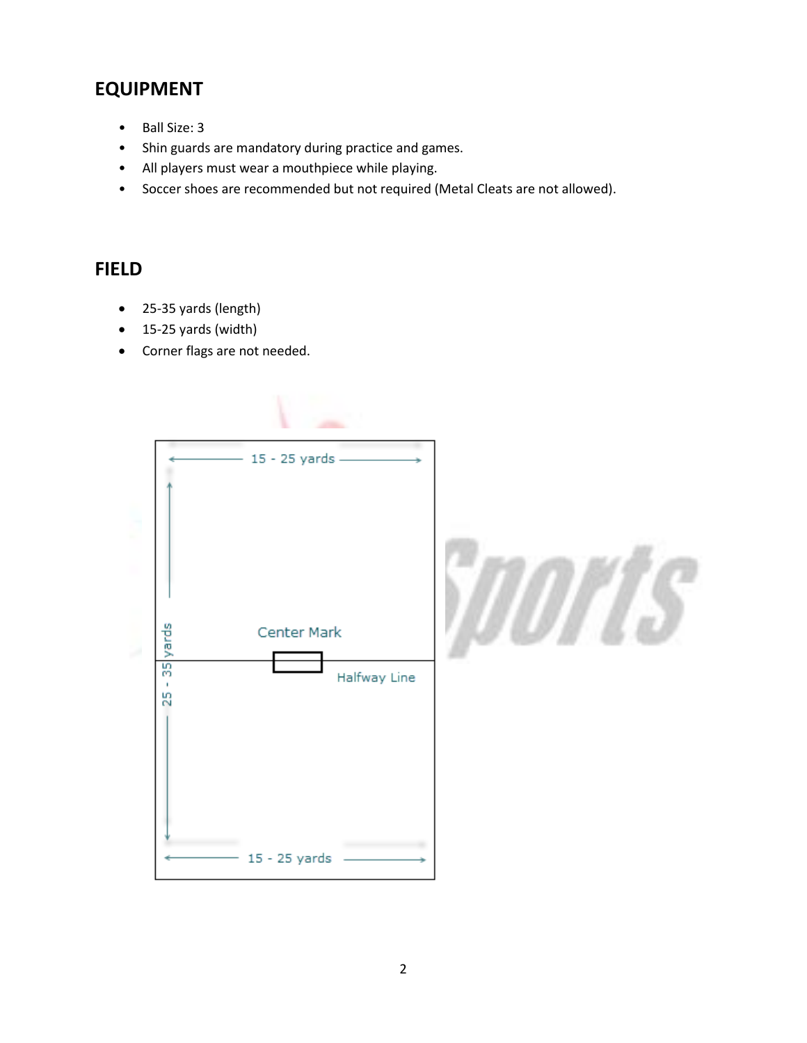# **EQUIPMENT**

- Ball Size: 3
- Shin guards are mandatory during practice and games.
- All players must wear a mouthpiece while playing.
- Soccer shoes are recommended but not required (Metal Cleats are not allowed).

## **FIELD**

- 25-35 yards (length)
- 15-25 yards (width)
- Corner flags are not needed.